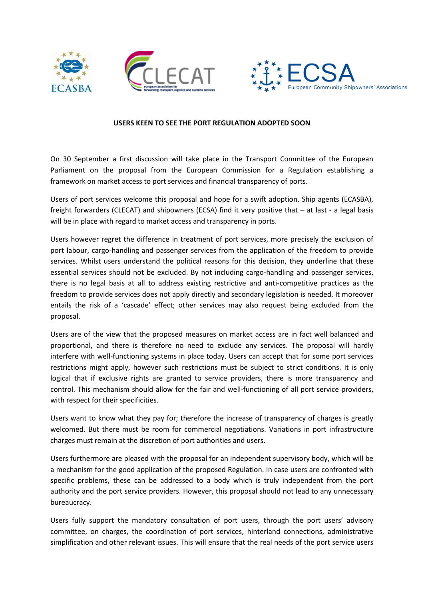





## **USERS KEEN TO SEE THE PORT REGULATION ADOPTED SOON**

On 30 September a first discussion will take place in the Transport Committee of the European Parliament on the proposal from the European Commission for a Regulation establishing a framework on market access to port services and financial transparency of ports.

Users of port services welcome this proposal and hope for a swift adoption. Ship agents (ECASBA), freight forwarders (CLECAT) and shipowners (ECSA) find it very positive that – at last - a legal basis will be in place with regard to market access and transparency in ports.

Users however regret the difference in treatment of port services, more precisely the exclusion of port labour, cargo-handling and passenger services from the application of the freedom to provide services. Whilst users understand the political reasons for this decision, they underline that these essential services should not be excluded. By not including cargo-handling and passenger services, there is no legal basis at all to address existing restrictive and anti-competitive practices as the freedom to provide services does not apply directly and secondary legislation is needed. It moreover entails the risk of a 'cascade' effect; other services may also request being excluded from the proposal.

Users are of the view that the proposed measures on market access are in fact well balanced and proportional, and there is therefore no need to exclude any services. The proposal will hardly interfere with well-functioning systems in place today. Users can accept that for some port services restrictions might apply, however such restrictions must be subject to strict conditions. It is only logical that if exclusive rights are granted to service providers, there is more transparency and control. This mechanism should allow for the fair and well-functioning of all port service providers, with respect for their specificities.

Users want to know what they pay for; therefore the increase of transparency of charges is greatly welcomed. But there must be room for commercial negotiations. Variations in port infrastructure charges must remain at the discretion of port authorities and users.

Users furthermore are pleased with the proposal for an independent supervisory body, which will be a mechanism for the good application of the proposed Regulation. In case users are confronted with specific problems, these can be addressed to a body which is truly independent from the port authority and the port service providers. However, this proposal should not lead to any unnecessary bureaucracy.

Users fully support the mandatory consultation of port users, through the port users' advisory committee, on charges, the coordination of port services, hinterland connections, administrative simplification and other relevant issues. This will ensure that the real needs of the port service users